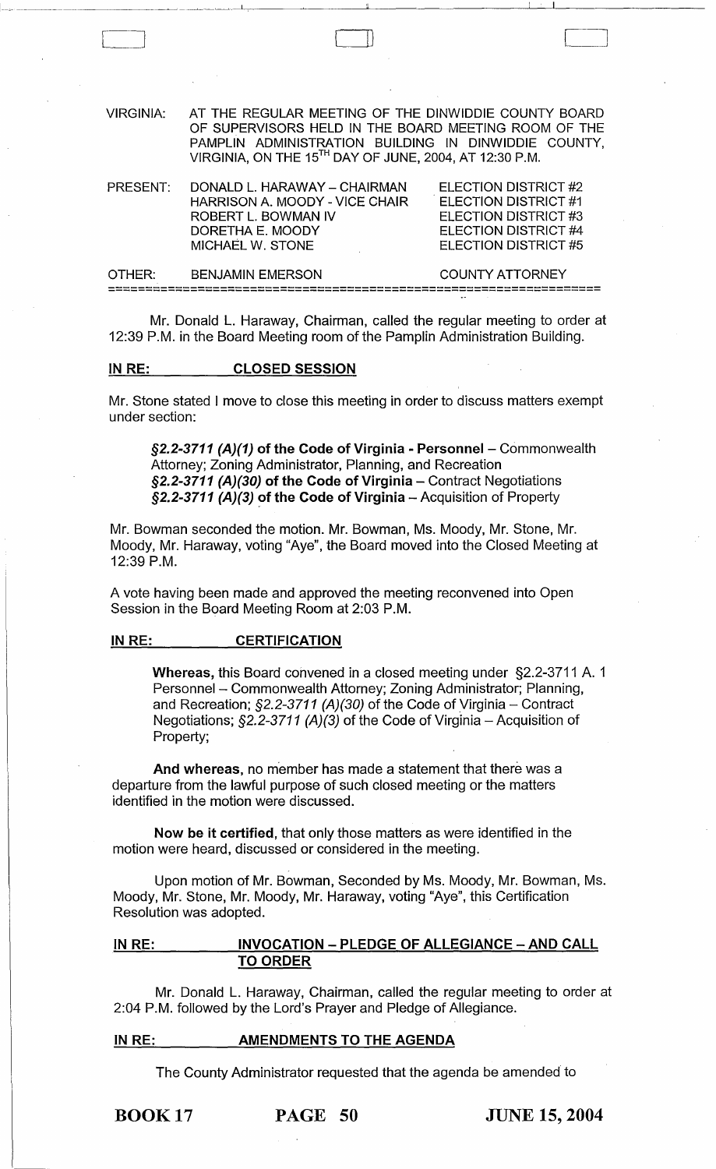| <b>VIRGINIA:</b> | AT THE REGULAR MEETING OF THE DINWIDDIE COUNTY BOARD<br>OF SUPERVISORS HELD IN THE BOARD MEETING ROOM OF THE<br>PAMPLIN ADMINISTRATION BUILDING IN DINWIDDIE COUNTY,<br>VIRGINIA, ON THE 15TH DAY OF JUNE, 2004, AT 12:30 P.M. |                                                                                                                      |
|------------------|--------------------------------------------------------------------------------------------------------------------------------------------------------------------------------------------------------------------------------|----------------------------------------------------------------------------------------------------------------------|
| PRESENT:         | DONALD L. HARAWAY - CHAIRMAN<br>HARRISON A. MOODY - VICE CHAIR<br>ROBERT L. BOWMAN IV<br>DORETHA E. MOODY<br>MICHAEL W. STONE                                                                                                  | ELECTION DISTRICT #2<br>ELECTION DISTRICT #1<br>ELECTION DISTRICT #3<br>ELECTION DISTRICT #4<br>ELECTION DISTRICT #5 |
| OTHER:           | <b>BENJAMIN EMERSON</b>                                                                                                                                                                                                        | <b>COUNTY ATTORNEY</b>                                                                                               |
|                  |                                                                                                                                                                                                                                |                                                                                                                      |

Mr. Donald L. Haraway, Chairman, called the regular meeting to order at 12:39 P.M. in the Board Meeting room of the Pamplin Administration Building.

## IN RE: CLOSED SESSION

 $\begin{bmatrix} 1 & 1 \\ 1 & 1 \end{bmatrix}$ 

Mr. Stone stated I move to close this meeting in order to discuss matters exempt under section:

 $\S2.2-3711$  (A)(1) of the Code of Virginia - Personnel – Commonwealth Attorney; Zoning Administrator, Planning, and Recreation §2.2-3711 (A)(30) of the Code of Virginia - Contract Negotiations §2.2-3711 (A)(3) of the Code of Virginia  $-$  Acquisition of Property

Mr. Bowman seconded the motion. Mr. Bowman, Ms. Moody, Mr. Stone, Mr. Moody, Mr. Haraway, voting "Aye", the Board moved into the Closed Meeting at 12:39 P.M.

A vote having been made and approved the meeting reconvened into Open Session in the Board Meeting Room at 2:03 P.M.

#### IN RE: CERTIFICATION

Whereas, this Board convened in a closed meeting under §2.2-3711 A. 1 Personnel - Commonwealth Attorney; Zoning Administrator; Planning, and Recreation;  $\S2.2$ -3711 (A)(30) of the Code of Virginia – Contract Negotiations;  $\S2.2$ -3711 (A)(3) of the Code of Virginia - Acquisition of Property;

And whereas, no member has made a statement that there was a departure from the lawful purpose of such closed meeting or the matters identified in the motion were discussed.

Now be it certified, that only those matters as were identified in the motion were heard, discussed or considered in the meeting.

Upon motion of Mr. Bowman, Seconded by Ms. Moody, Mr. Bowman, Ms. Moody, Mr. Stone, Mr. Moody, Mr. Haraway, voting "Aye", this Certification Resolution was adopted.

## IN RE: INVOCATION - PLEDGE OF ALLEGIANCE - AND CALL TO ORDER

Mr. Donald L. Haraway, Chairman, called the regular meeting to order at 2:04 P.M. followed by the Lord's Prayer and Pledge of Allegiance.

#### IN RE: \_\_\_\_\_\_\_\_\_\_\_ AMENDMENTS TO THE AGENDA

The County Administrator requested that the agenda be amended to

BOOK 17 PAGE 50 JUNE 15,2004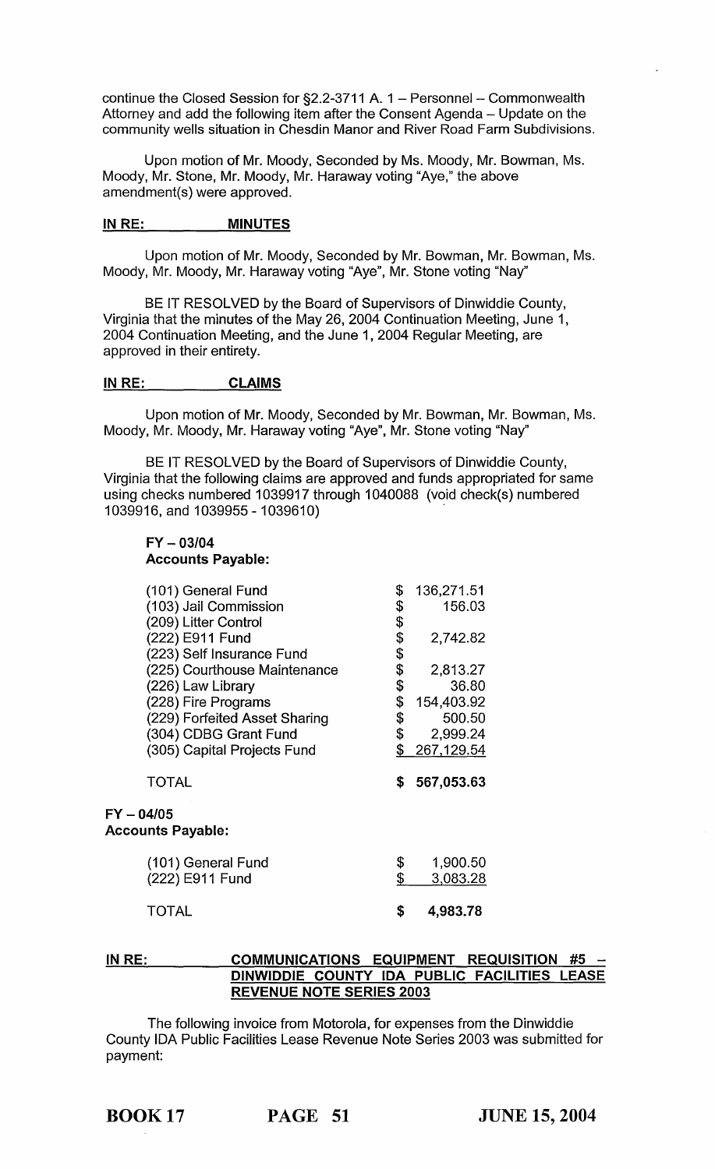continue the Closed Session for  $\S2.2$ -3711 A. 1 – Personnel – Commonwealth Attorney and add the following item after the Consent Agenda - Update on the community wells situation in Chesdin Manor and River Road Farm Subdivisions.

Upon motion of Mr. Moody, Seconded by Ms. Moody, Mr. Bowman, Ms. Moody, Mr. Stone, Mr. Moody, Mr. Haraway voting "Aye," the above amendment(s) were approved.

## IN RE: MINUTES

Upon motion of Mr. Moody, Seconded by Mr. Bowman, Mr. Bowman, Ms. Moody, Mr. Moody, Mr. Haraway voting "Aye", Mr. Stone voting "Nay"

BE IT RESOLVED by the Board of Supervisors of Dinwiddie County, Virginia that the minutes of the May 26, 2004 Continuation Meeting, June 1, 2004 Continuation Meeting, and the June 1, 2004 Regular Meeting, are approved in their entirety.

#### IN RE: CLAIMS

Upon motion of Mr. Moody, Seconded by Mr. Bowman, Mr. Bowman, Ms. Moody, Mr. Moody, Mr. Haraway voting "Aye", Mr. Stone voting "Nay"

BE IT RESOLVED by the Board of Supervisors of Dinwiddie County, Virginia that the following claims are approved and funds appropriated for same using checks numbered 1039917 through 1040088 (void check(s) numbered 1039916, and 1039955 - 1039610)

## FY - *03/04*  Accounts Payable:

| (101) General Fund                       | \$       | 136,271.51           |
|------------------------------------------|----------|----------------------|
| (103) Jail Commission                    | \$       | 156.03               |
| (209) Litter Control                     | \$       |                      |
| (222) E911 Fund                          |          | 2,742.82             |
| (223) Self Insurance Fund                |          |                      |
| (225) Courthouse Maintenance             | \$\$\$\$ | 2,813.27             |
| (226) Law Library                        |          | 36.80                |
| (228) Fire Programs                      | \$       | 154,403.92           |
| (229) Forfeited Asset Sharing            | \$       | 500.50               |
| (304) CDBG Grant Fund                    | \$       | 2,999.24             |
| (305) Capital Projects Fund              | \$       | 267,129.54           |
| <b>TOTAL</b>                             | \$       | 567,053.63           |
| $FY - 04/05$<br><b>Accounts Payable:</b> |          |                      |
| (101) General Fund<br>(222) E911 Fund    | \$<br>\$ | 1,900.50<br>3,083.28 |
| TOTAL                                    | \$       | 4,983.78             |

## IN RE: COMMUNICATIONS EQUIPMENT REQUISITION #5 DINWIDDIE COUNTY IDA PUBLIC FACILITIES LEASE REVENUE NOTE SERIES 2003

The following invoice from Motorola, for expenses from the Dinwiddie County IDA Public Facilities Lease Revenue Note Series 2003 was submitted for payment: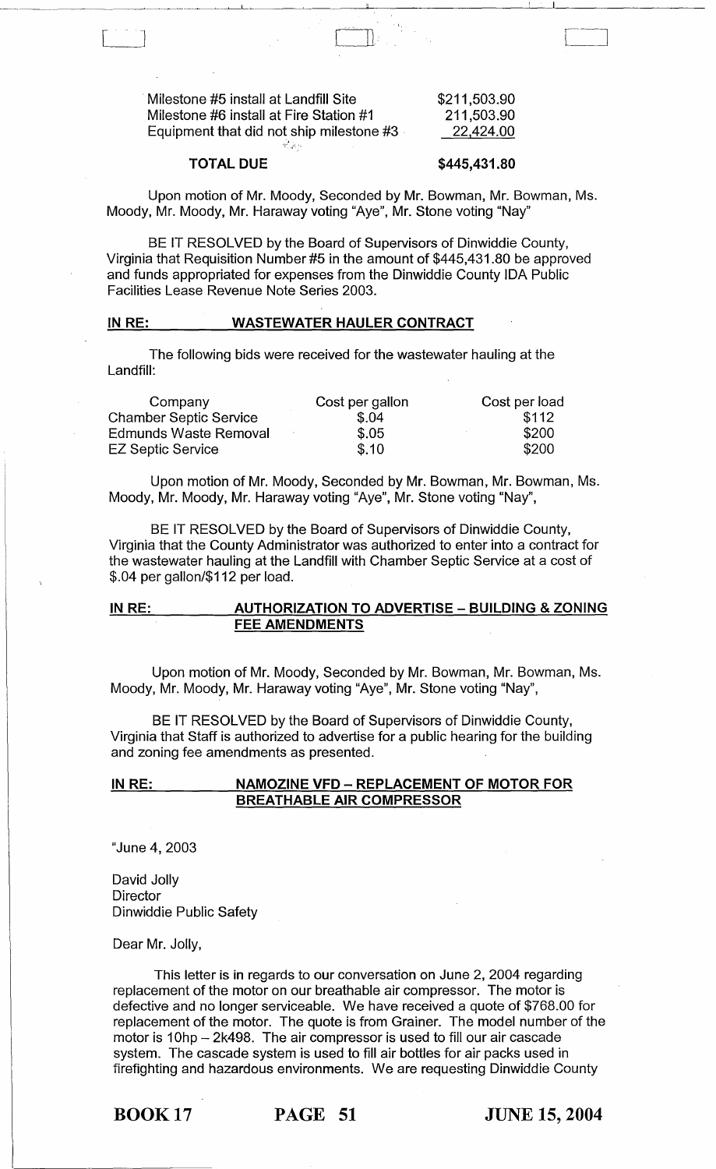Milestone #5 install at Landfill Site Milestone #6 install at Fire Station #1 Equipment that did not ship milestone  $#3$ 

| \$211,503.90 |  |
|--------------|--|
| 211,503.90   |  |
| 22,424.00    |  |

 $\begin{bmatrix} \phantom{-} \end{bmatrix}$ 

### TOTAL DUE

 $\mathbf{I}$ 

#### \$445,431.80

Upon motion of Mr. Moody, Seconded by Mr. Bowman, Mr. Bowman, Ms. Moody, Mr. Moody, Mr. Haraway voting "Aye", Mr. Stone voting "Nay"

BE IT RESOLVED by the Board of Supervisors of Dinwiddie County, Virginia that Requisition Number #5 in the amount of \$445,431.80 be approved and funds appropriated for expenses from the Dinwiddie County IDA Public Facilities Lease Revenue Note Series 2003.

#### IN RE: \_\_\_\_\_\_\_\_ WASTEWATER HAULER CONTRACT

The following bids were received for the wastewater hauling at the Landfill:

| Company                       | Cost per gallon | Cost per load |
|-------------------------------|-----------------|---------------|
| <b>Chamber Septic Service</b> | \$.04           | \$112         |
| <b>Edmunds Waste Removal</b>  | \$.05           | \$200         |
| <b>EZ Septic Service</b>      | \$.10           | \$200         |

Upon motion of Mr. Moody, Seconded by Mr. Bowman, Mr. Bowman, Ms. Moody, Mr. Moody, Mr. Haraway voting "Aye", Mr. Stone voting "Nay",

BE IT RESOLVED by the Board of Supervisors of Dinwiddie County, Virginia that the County Administrator was authorized to enter into a contract for the wastewater hauling at the Landfill with Chamber Septic Service at a cost of \$.04 per gallon/\$112 per load.

## IN RE: AUTHORIZATION TO ADVERTISE - BUILDING & ZONING FEE AMENDMENTS

Upon motion of Mr. Moody, Seconded by Mr. Bowman, Mr. Bowman, Ms. Moody, Mr. Moody, Mr. Haraway voting "Aye", Mr. Stone voting "Nay",

BE IT RESOLVED by the Board of Supervisors of Dinwiddie County, Virginia that Staff is authorized to advertise for a public hearing for the building and zoning fee amendments as presented.

#### IN RE: NAMOZINE VFD - REPLACEMENT OF MOTOR FOR BREATHABLE AIR COMPRESSOR

"June 4, 2003

David Jolly **Director** Dinwiddie Public Safety

Dear Mr. Jolly,

This letter is in regards to our conversation on June 2, 2004 regarding replacement of the motor on our breathable air compressor. The motor is defective and no longer serviceable. We have received a quote of \$768.00 for replacement of the motor. The quote is from Grainer. The model number of the motor is 10hp - 2k498. The air compressor is used to fill our air cascade system. The cascade system is used to fill air bottles for air packs used in firefighting and hazardous environments. We are requesting Dinwiddie County

BOOK 17 PAGE 51 JUNE 15, 2004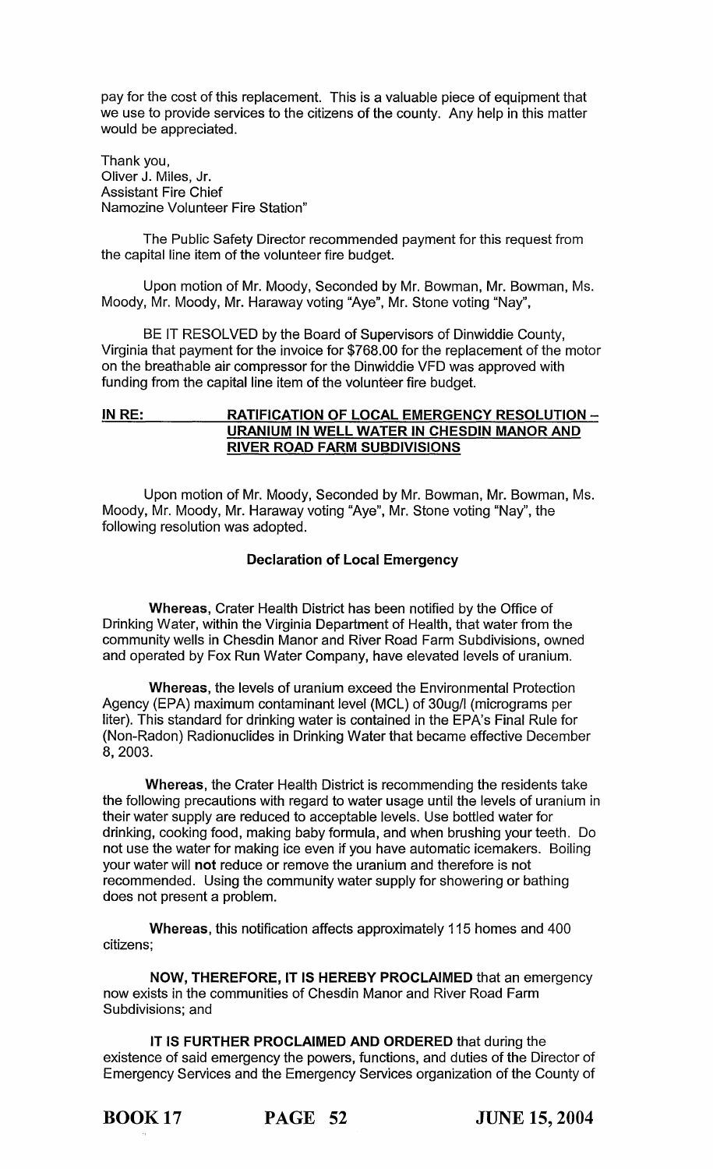pay for the cost of this replacement. This is a valuable piece of equipment that we use to provide services to the citizens of the county. Any help in this matter would be appreciated.

Thank you, Oliver J. Miles, Jr. Assistant Fire Chief Namozine Volunteer Fire Station"

The Public Safety Director recommended payment for this request from the capital line item of the volunteer fire budget.

Upon motion of Mr. Moody, Seconded by Mr. Bowman, Mr. Bowman, Ms. Moody, Mr. Moody, Mr. Haraway voting "Aye", Mr. Stone voting "Nay",

BE IT RESOLVED by the Board of Supervisors of Dinwiddie County, Virginia that payment for the invoice for \$768.00 for the replacement of the motor on the breathable air compressor for the Dinwiddie VFD was approved with funding from the capital line item of the volunteer fire budget.

# IN RE: RATIFICATION OF LOCAL EMERGENCY RESOLUTION -URANIUM IN WELL WATER IN CHESDIN MANOR AND RIVER ROAD FARM SUBDIVISIONS

Upon motion of Mr. Moody, Seconded by Mr. Bowman, Mr. Bowman, Ms. Moody, Mr. Moody, Mr. Haraway voting "Aye", Mr. Stone voting "Nay", the following resolution was adopted.

## Declaration of Local Emergency

Whereas, Crater Health District has been notified by the Office of Drinking Water, within the Virginia Department of Health, that water from the community wells in Chesdin Manor and River Road Farm Subdivisions, owned and operated by Fox Run Water Company, have elevated levels of uranium.

Whereas, the levels of uranium exceed the Environmental Protection Agency (EPA) maximum contaminant level (MCl) of 30ug/1 (micrograms per liter). This standard for drinking water is contained in the EPA's Final Rule for (Non-Radon) Radionuclides in Drinking Water that became effective December 8,2003.

Whereas, the Crater Health District is recommending the residents take the following precautions with regard to water usage until the levels of uranium in their water supply are reduced to acceptable levels. Use bottled water for drinking, cooking food, making baby formula, and when brushing your teeth. Do not use the water for making ice even if you have automatic icemakers. Boiling your water will not reduce or remove the uranium and therefore is not recommended. Using the community water supply for showering or bathing does not present a problem.

Whereas, this notification affects approximately 115 homes and 400 citizens;

NOW, THEREFORE, IT IS HEREBY PROCLAIMED that an emergency now exists in the communities of Chesdin Manor and River Road Farm Subdivisions; and

IT IS FURTHER PROCLAIMED AND ORDERED that during the existence of said emergency the powers, functions, and duties of the Director of Emergency Services and the Emergency Services organization of the County of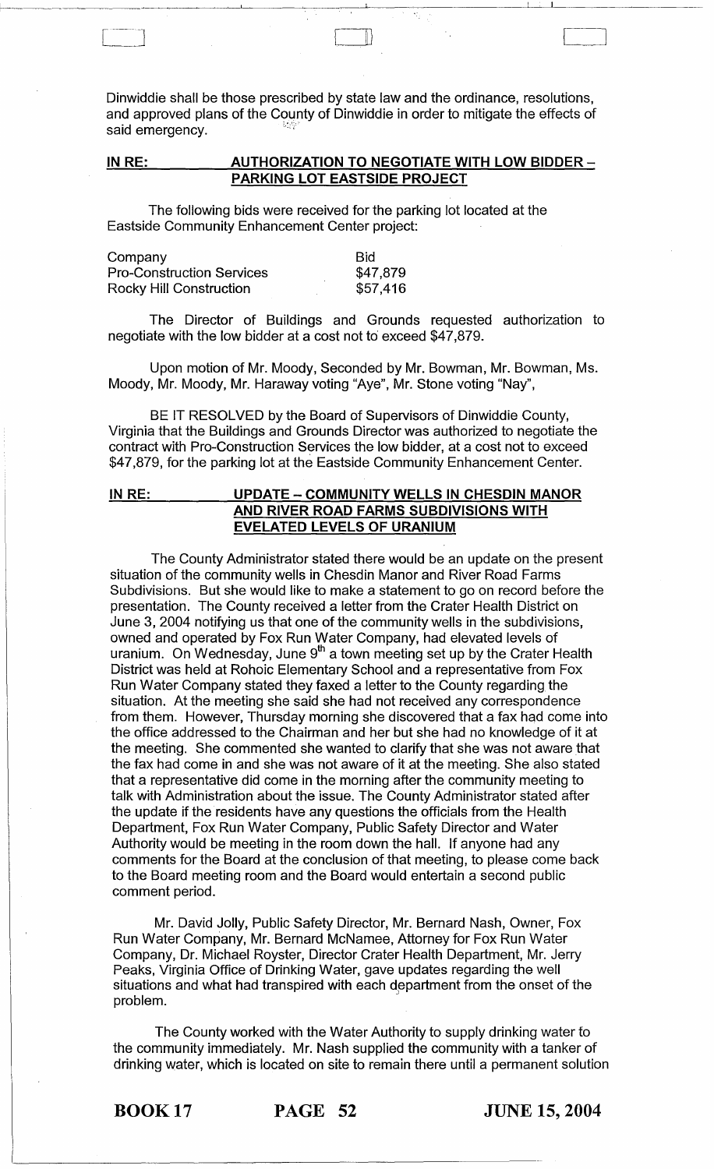Dinwiddie shall be those prescribed by state law and the ordinance, resolutions, and approved plans of the County of Dinwiddie in order to mitigate the effects of said emergency.

IU

## IN RE: AUTHORIZATION TO NEGOTIATE WITH LOW BIDDER -**PARKING LOT EASTSIDE PROJECT**

The following bids were received for the parking lot located at the Eastside Community Enhancement Center project:

| Company                          | <b>Bid</b> |
|----------------------------------|------------|
| <b>Pro-Construction Services</b> | \$47,879   |
| Rocky Hill Construction          | \$57,416   |

The Director of Buildings and Grounds requested authorization to negotiate with the low bidder at a cost not to exceed \$47,879.

Upon motion of Mr. Moody, Seconded by Mr. Bowman, Mr. Bowman, Ms. Moody, Mr. Moody, Mr. Haraway voting "Aye", Mr. Stone voting "Nay",

BE IT RESOLVED by the Board of Supervisors of Dinwiddie County, Virginia that the Buildings and Grounds Director was authorized to negotiate the contract with Pro-Construction Services the low bidder, at a cost not to exceed \$47,879, for the parking lot at the Eastside Community Enhancement Center.

## **INRE: UPDATE - COMMUNITY WELLS IN CHESDIN MANOR AND RIVER ROAD FARMS SUBDIVISIONS WITH EVELATED LEVELS OF URANIUM**

The County Administrator stated there would be an update on the present situation of the community wells in Chesdin Manor and River Road Farms Subdivisions. But she would like to make a statement to go on record before the presentation. The County received a letter from the Crater Health District on June 3, 2004 notifying us that one of the community wells in the subdivisions, owned and operated by Fox Run Water Company, had elevated levels of uranium. On Wednesday, June  $9^{th}$  a town meeting set up by the Crater Health District was held at Rohoic Elementary School and a representative from Fox Run Water Company stated they faxed a letter to the County regarding the situation. At the meeting she said she had not received any correspondence from them. However, Thursday morning she discovered that a fax had come into the office addressed to the Chairman and her but she had no knowledge of it at the meeting. She commented she wanted to clarify that she was not aware that the fax had come in and she was not aware of it at the meeting. She also stated that a representative did come in the morning after the community meeting to talk with Administration about the issue. The County Administrator stated after the update if the residents have any questions the officials from the Health Department, Fox Run Water Company, Public Safety Director and Water Authority would be meeting in the room down the hall. If anyone had any comments for the Board at the conclusion of that meeting, to please come back to the Board meeting room and the Board would entertain a second public comment period.

Mr. David Jolly, Public Safety Director, Mr. Bernard Nash, Owner, Fox Run Water Company, Mr. Bernard McNamee, Attorney for Fox Run Water Company, Dr. Michael Royster, Director Crater Health Department, Mr. Jerry Peaks, Virginia Office of Drinking Water, gave updates regarding the well situations and what had transpired with each department from the onset of the problem.

The County worked with the Water Authority to supply drinking water to the community immediately. Mr. Nash supplied the community with a tanker of drinking water, which is located on site to remain there until a permanent solution

BOOK 17 **PAGE 52 JUNE 15,2004**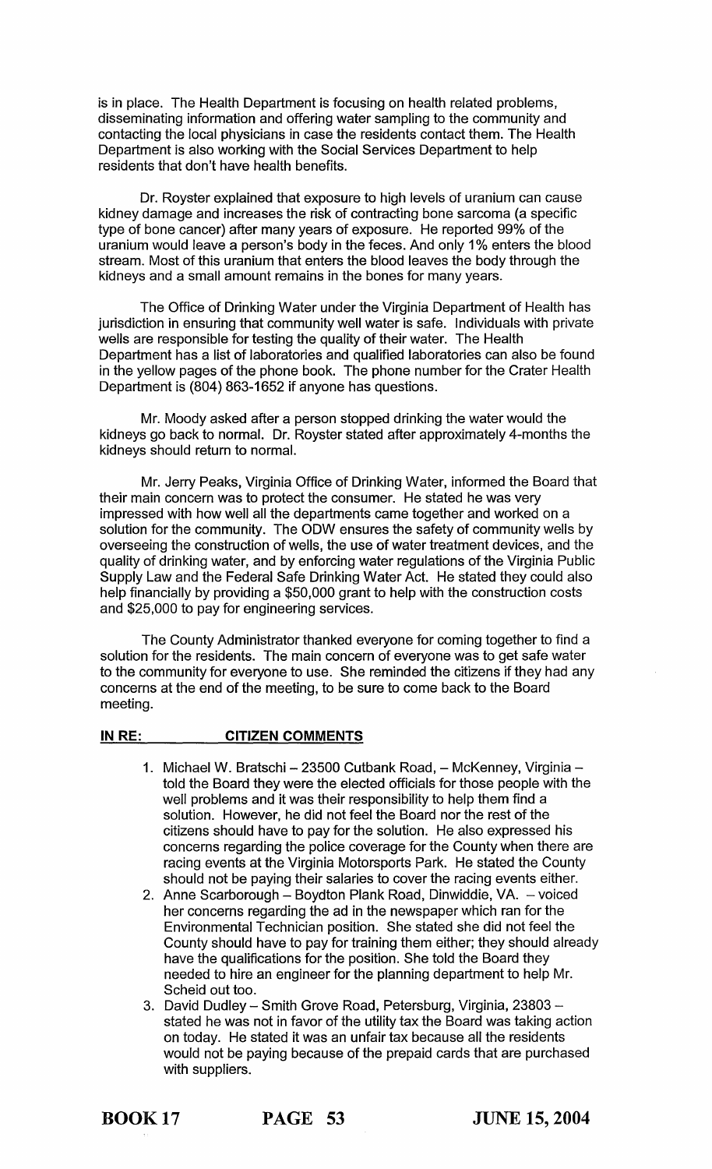is in place. The Health Department is focusing on health related problems, disseminating information and offering water sampling to the community and contacting the local physicians in case the residents contact them. The Health Department is also working with the Social Services Department to help residents that don't have health benefits.

Dr. Royster explained that exposure to high levels of uranium can cause kidney damage and increases the risk of contracting bone sarcoma (a specific type of bone cancer) after many years of exposure. He reported 99% of the uranium would leave a person's body in the feces. And only 1 % enters the blood stream. Most of this uranium that enters the blood leaves the body through the kidneys and a small amount remains in the bones for many years.

The Office of Drinking Water under the Virginia Department of Health has jurisdiction in ensuring that community well water is safe. Individuals with private wells are responsible for testing the quality of their water. The Health Department has a list of laboratories and qualified laboratories can also be found in the yellow pages of the phone book. The phone number for the Crater Health Department is (804) 863-1652 if anyone has questions.

Mr. Moody asked after a person stopped drinking the water would the kidneys go back to normal. Dr. Royster stated after approximately 4-months the kidneys should return to normal.

Mr. Jerry Peaks, Virginia Office of Drinking Water, informed the Board that their main concern was to protect the consumer. He stated he was very impressed with how well all the departments came together and worked on a solution for the community. The ODW ensures the safety of community wells by overseeing the construction of wells, the use of water treatment devices, and the quality of drinking water, and by enforcing water regulations of the Virginia Public Supply Law and the Federal Safe Drinking Water Act. He stated they could also help financially by providing a \$50,000 grant to help with the construction costs and \$25,000 to pay for engineering services.

The County Administrator thanked everyone for coming together to find a solution for the residents. The main concern of everyone was to get safe water to the community for everyone to use. She reminded the citizens if they had any concerns at the end of the meeting, to be sure to come back to the Board meeting.

#### IN RE: CITIZEN COMMENTS

- 1. Michael W. Bratschi 23500 Cutbank Road, McKenney, Virginia told the Board they were the elected officials for those people with the well problems and it was their responsibility to help them find a solution. However, he did not feel the Board nor the rest of the citizens should have to pay for the solution. He also expressed his concerns regarding the police coverage for the County when there are racing events at the Virginia Motorsports Park. He stated the County should not be paying their salaries to cover the racing events either.
- 2. Anne Scarborough Boydton Plank Road, Dinwiddie, VA. voiced her concerns regarding the ad in the newspaper which ran for the Environmental Technician position. She stated she did not feel the County should have to pay for training them either; they should already have the qualifications for the position. She told the Board they needed to hire an engineer for the planning department to help Mr. Scheid out too.
- 3. David Dudley Smith Grove Road, Petersburg, Virginia, 23803 stated he was not in favor of the utility tax the Board was taking action on today. He stated it was an unfair tax because all the residents would not be paying because of the prepaid cards that are purchased with suppliers.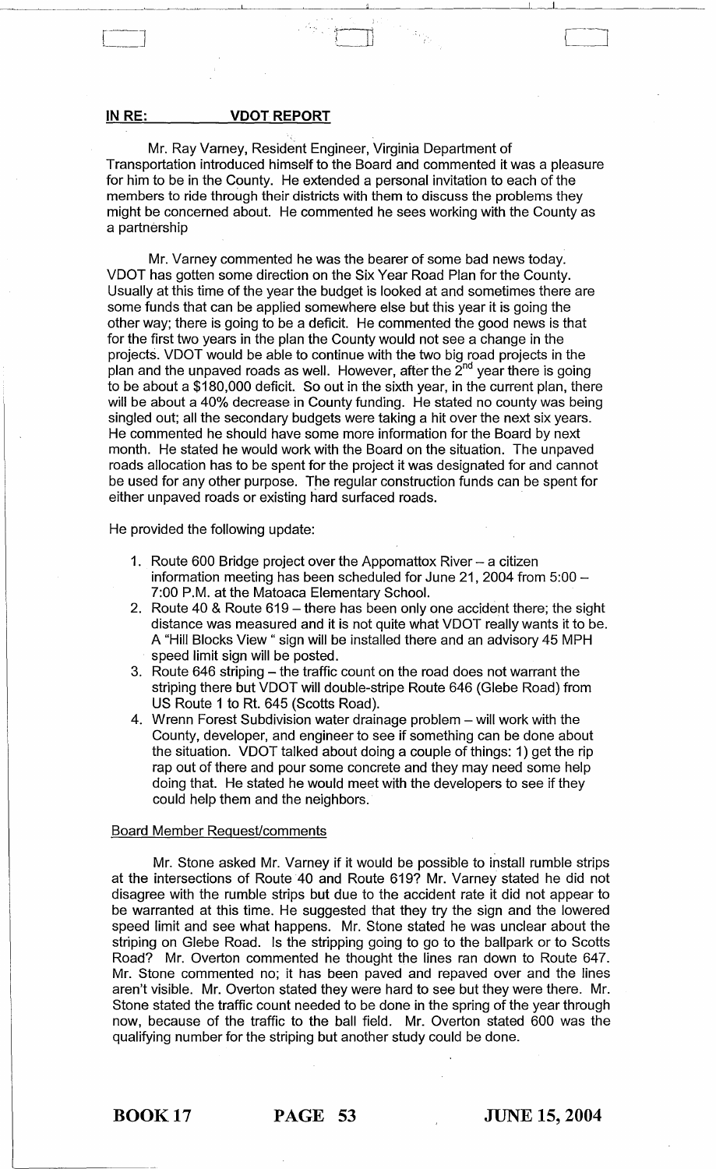#### **IN RE: VDOT REPORT**

Mr. Ray Varney, Resident Engineer, Virginia Department of Transportation introduced himself to the Board and commented it was a pleasure for him to be in the County. He extended a personal invitation to each of the members to ride through their districts with them to discuss the problems they might be concerned about. He commented he sees working with the County as a partnership

Mr. Varney commented he was the bearer of some bad news today. VDOT has gotten some direction on the Six Year Road Plan for the County. Usually at this time of the year the budget is looked at and sometimes there are some funds that can be applied somewhere else but this year it is going the other way; there is going to be a deficit. He commented the good news is that for the first two years in the plan the County would not see a change in the projects. VDOT would be able to continue with the two big road projects in the plan and the unpaved roads as well. However, after the  $2<sup>nd</sup>$  year there is going to be about a \$180,000 deficit. So out in the sixth year, in the current plan, there will be about a 40% decrease in County funding. He stated no county was being singled out; all the secondary budgets were taking a hit over the next six years. He commented he should have some more information for the Board by next month. He stated he would work with the Board on the situation. The unpaved roads allocation has to be spent for the project it was designated for and cannot be used for any other purpose. The regular construction funds can be spent for either unpaved roads or existing hard surfaced roads.

He provided the following update:

- 1. Route 600 Bridge project over the Appomattox River a citizen information meeting has been scheduled for June 21, 2004 from  $5:00-$ 7:00 P.M. at the Matoaca Elementary School.
- 2. Route 40 & Route 619 there has been only one accident there; the sight distance was measured and it is not quite what VDOT really wants it to be. A "Hill Blocks View" sign will be installed there and an advisory 45 MPH speed limit sign will be posted.
- 3. Route 646 striping the traffic count on the road does not warrant the striping there but VDOT will double-stripe Route 646 (Glebe Road) from US Route 1 to Rt. 645 (Scotts Road).
- 4. Wrenn Forest Subdivision water drainage problem will work with the County, developer, and engineer to see if something can be done about the situation. VDOT talked about doing a couple of things: 1) get the rip rap out of there and pour some concrete and they may need some help doing that. He stated he would meet with the developers to see if they could help them and the neighbors.

#### Board Member Request/comments

Mr. Stone asked Mr. Varney if it would be possible to install rumble strips at the intersections of Route 40 and Route 619? Mr. Varney stated he did not disagree with the rumble strips but due to the accident rate it did not appear to be warranted at this time. He suggested that they try the sign and the lowered speed limit and see what happens. Mr. Stone stated he was unclear about the striping on Glebe Road. Is the stripping going to go to the ballpark or to Scotts Road? Mr. Overton commented he thought the lines ran down to Route 647. Mr. Stone commented no; it has been paved and repaved over and the lines aren't visible. Mr. Overton stated they were hard to see but they were there. Mr. Stone stated the traffic count needed to be done in the spring of the year through now, because of the traffic to the ball field. Mr. Overton stated 600 was the qualifying number for the striping but another study could be done.

 $\begin{bmatrix} \phantom{-} & \phantom{-} \end{bmatrix}$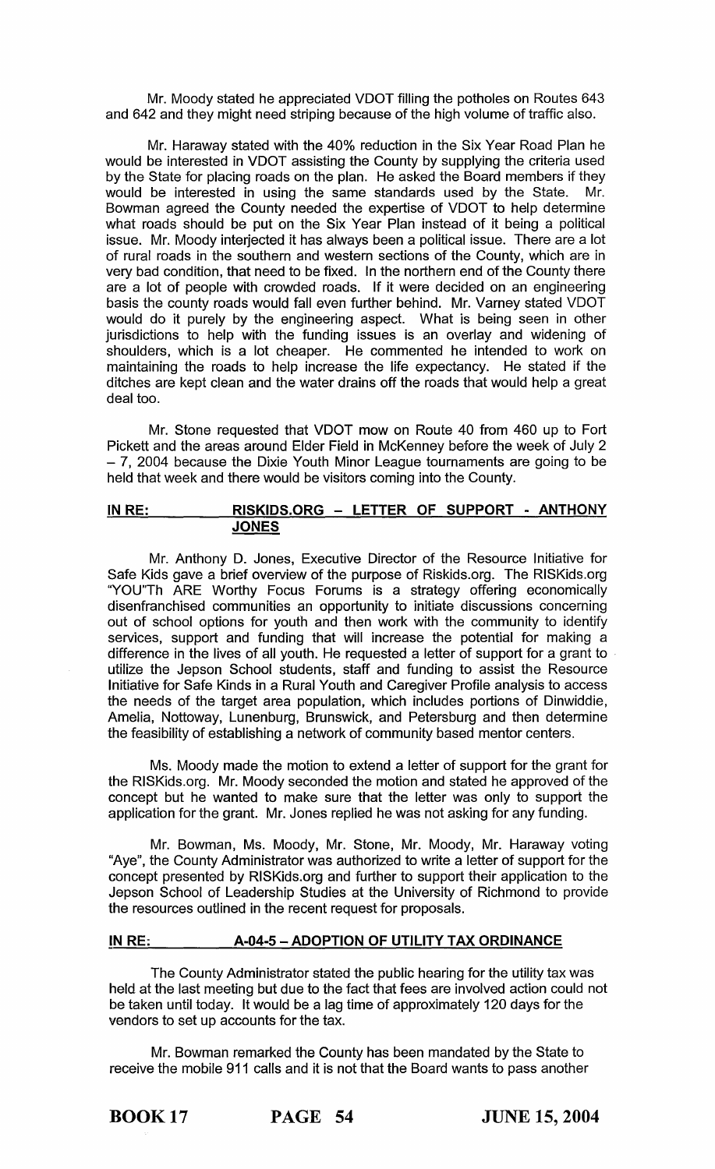Mr. Moody stated he appreciated VDOT filling the potholes on Routes 643 and 642 and they might need striping because of the high volume of traffic also.

Mr. Haraway stated with the 40% reduction in the Six Year Road Plan he would be interested in VDOT assisting the County by supplying the criteria used by the State for placing roads on the plan. He asked the Board members if they would be interested in using the same standards used by the State. Mr. would be interested in using the same standards used by the State. Bowman agreed the County needed the expertise of VDOT to help determine what roads should be put on the Six Year Plan instead of it being a political issue. Mr. Moody interjected it has always been a political issue. There are a lot of rural roads in the southern and western sections of the County, which are in very bad condition, that need to be fixed. In the northern end of the County there are a lot of people with crowded roads. If it were decided on an engineering basis the county roads would fall even further behind. Mr. Varney stated VDOT would do it purely by the engineering aspect. What is being seen in other jurisdictions to help with the funding issues is an overlay and widening of shoulders, which is a lot cheaper. He commented he intended to work on maintaining the roads to help increase the life expectancy. He stated if the ditches are kept clean and the water drains off the roads that would help a great deal too.

Mr. Stone requested that VDOT mow on Route 40 from 460 up to Fort Pickett and the areas around Elder Field in McKenney before the week of July 2 - 7, 2004 because the Dixie Youth Minor League tournaments are going to be held that week and there would be visitors coming into the County.

# IN RE: RISKIDS.ORG - LETTER OF SUPPORT - ANTHONY JONES

Mr. Anthony D. Jones, Executive Director of the Resource Initiative for Safe Kids gave a brief overview of the purpose of Riskids.org. The RISKids.org "YOU"Th ARE Worthy Focus Forums is a strategy offering economically disenfranchised communities an opportunity to initiate discussions concerning out of school options for youth and then work with the community to identify services, support and funding that will increase the potential for making a difference in the lives of all youth. He requested a letter of support for a grant to . utilize the Jepson School students, staff and funding to assist the Resource Initiative for Safe Kinds in a Rural Youth and Caregiver Profile analysis to access the needs of the target area population, which includes portions of Dinwiddie, Amelia, Nottoway, Lunenburg, Brunswick, and Petersburg and then determine the feasibility of establishing a network of community based mentor centers.

Ms. Moody made the motion to extend a letter of support for the grant for the RISKids.org. Mr. Moody seconded the motion and stated he approved of the concept but he wanted to make sure that the letter was only to support the application for the grant. Mr. Jones replied he was not asking for any funding.

Mr. Bowman, Ms. Moody, Mr. Stone, Mr. Moody, Mr. Haraway voting "Aye", the County Administrator was authorized to write a letter of support for the concept presented by RISKids.org and further to support their application to the Jepson School of Leadership Studies at the University of Richmond to provide the resources outlined in the recent request for proposals.

## IN RE: A-04-5 - ADOPTION OF UTILITY TAX ORDINANCE

The County Administrator stated the public hearing for the utility tax was held at the last meeting but due to the fact that fees are involved action could not be taken until today. It would be a lag time of approximately 120 days for the vendors to set up accounts for the tax.

Mr. Bowman remarked the County has been mandated by the State to receive the mobile 911 calls and it is not that the Board wants to pass another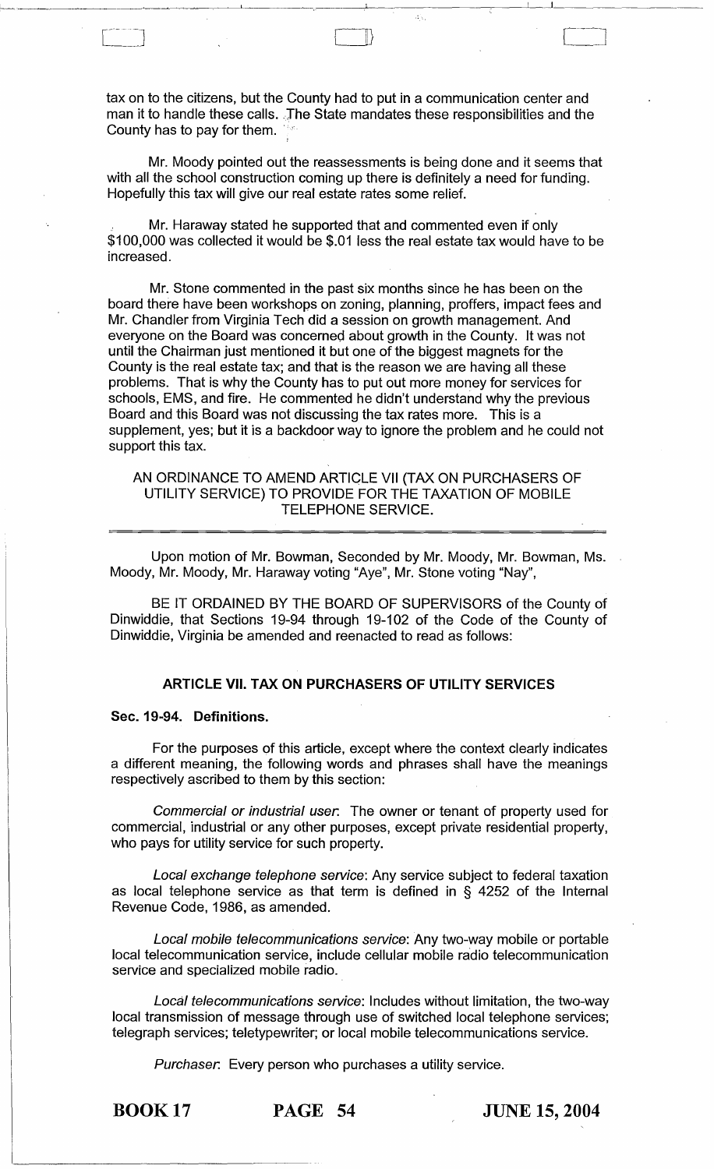tax on to the citizens, but the County had to put in a communication center and man it to handle these calls. The State mandates these responsibilities and the County has to pay for them.

[---.. \_j CD

.'1 1\_1 \_\_\_\_\_\_\_\_ \_

Mr. Moody pointed out the reassessments is being done and it seems that with all the school construction coming up there is definitely a need for funding. Hopefully this tax will give our real estate rates some relief.

Mr. Haraway stated he supported that and commented even if only \$100,000 was collected it would be \$.01 less the real estate tax would have to be increased.

Mr. Stone commented in the past six months since he has been on the board there have been workshops on zoning, planning, proffers, impact fees and Mr. Chandler from Virginia Tech did a session on growth management. And everyone on the Board was concerned about growth in the County. It was not until the Chairman just mentioned it but one of the biggest magnets for the County is the real estate tax; and that is the reason we are having all these problems. That is why the County has to put out more money for services for schools, EMS, and fire. He commented he didn't understand why the previous Board and this Board was not discussing the tax rates more. This is a supplement, yes; but it is a backdoor way to ignore the problem and he could not support this tax.

## AN ORDINANCE TO AMEND ARTICLE VII (TAX ON PURCHASERS OF UTILITY SERVICE) TO PROVIDE FOR THE TAXATION OF MOBILE TELEPHONE SERVICE.

Upon motion of Mr. Bowman, Seconded by Mr. Moody, Mr. Bowman, Ms. Moody, Mr. Moody, Mr. Haraway voting "Aye", Mr. Stone voting "Nay",

BE IT ORDAINED BY THE BOARD OF SUPERVISORS of the County of Dinwiddie, that Sections 19-94 through 19-102 of the Code of the County of Dinwiddie, Virginia be amended and reenacted to read as follows:

# ARTICLE VII. TAX ON PURCHASERS OF UTILITY SERVICES

#### Sec. 19-94. Definitions.

For the purposes of this article, except where the context clearly indicates a different meaning, the following words and phrases shall have the meanings respectively ascribed to them by this section:

Commercial or industrial user. The owner or tenant of property used for commercial, industrial or any other purposes, except private residential property, who pays for utility service for such property.

Local exchange telephone service: Any service subject to federal taxation as local telephone service as that term is defined in § 4252 of the Internal Revenue Code, 1986, as amended.

Local mobile telecommunications service: Any two-way mobile or portable local telecommunication service, include cellular mobile radio telecommunication service and specialized mobile radio.

Local telecommunications service: Includes without limitation, the two-way local transmission of message through use of switched local telephone services; telegraph services; teletypewriter; or local mobile telecommunications service.

Purchaser. Every person who purchases a utility service.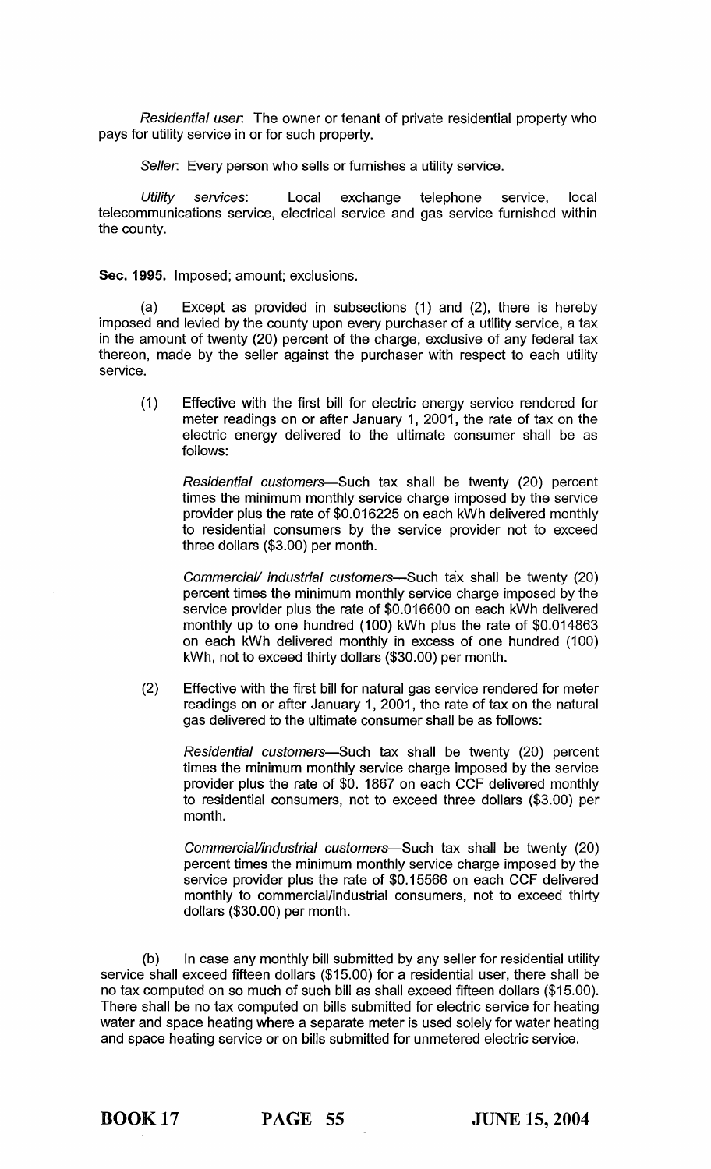Residential user. The owner or tenant of private residential property who pays for utility service in or for such property.

Seller. Every person who sells or furnishes a utility service.

Utility services: Local exchange telephone service, local telecommunications service, electrical service and gas service furnished within the county.

Sec. 1995. Imposed; amount; exclusions.

(a) Except as provided in subsections (1) and (2), there is hereby imposed and levied by the county upon every purchaser of a utility service, a tax in the amount of twenty (20) percent of the charge, exclusive of any federal tax thereon, made by the seller against the purchaser with respect to each utility service.

(1) Effective with the first bill for electric energy service rendered for meter readings on or after January 1, 2001, the rate of tax on the electric energy delivered to the ultimate consumer shall be as follows:

Residential customers-Such tax shall be twenty (20) percent times the minimum monthly service charge imposed by the service provider plus the rate of \$0.016225 on each kWh delivered monthly to residential consumers by the service provider not to exceed three dollars (\$3.00) per month.

Commercial/ industrial customers-Such tax shall be twenty (20) percent times the minimum monthly service charge imposed by the service provider plus the rate of \$0.016600 on each kWh delivered monthly up to one hundred (100) kWh plus the rate of \$0.014863 on each kWh delivered monthly in excess of one hundred (100) kWh, not to exceed thirty dollars (\$30.00) per month.

(2) Effective with the first bill for natural gas service rendered for meter readings on or after January 1, 2001, the rate of tax on the natural gas delivered to the ultimate consumer shall be as follows:

Residential customers-Such tax shall be twenty (20) percent times the minimum monthly service charge imposed by the service provider plus the rate of \$0. 1867 on each CCF delivered monthly to residential consumers, not to exceed three dollars (\$3.00) per month.

Commercial/industrial customers-Such tax shall be twenty (20) percent times the minimum monthly service charge imposed by the service provider plus the rate of \$0.15566 on each CCF delivered monthly to commercial/industrial consumers, not to exceed thirty dollars (\$30.00) per month.

(b) In case any monthly bill submitted by any seller for residential utility service shall exceed fifteen dollars (\$15.00) for a residential user, there shall be no tax computed on so much of such bill as shall exceed fifteen dollars (\$15.00). There shall be no tax computed on bills submitted for electric service for heating water and space heating where a separate meter is used solely for water heating and space heating service or on bills submitted for unmetered electric service.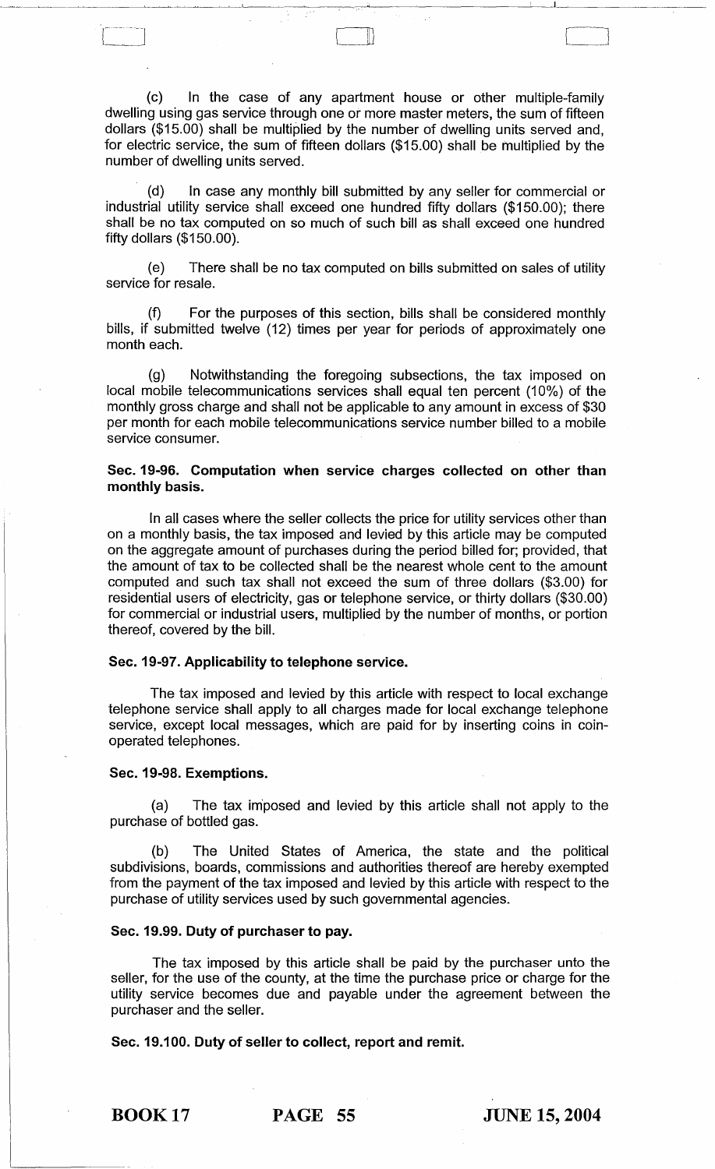(c) In the case of any apartment house or other multiple-family dwelling using gas service through one or more master meters, the sum of fifteen dollars (\$15.00) shall be multiplied by the number of dwelling units served and, for electric service, the sum of fifteen dollars (\$15.00) shall be multiplied by the number of dwelling units served.

C]

(d) In case any monthly bill submitted by any seller for commercial or industrial utility service shall exceed one hundred fifty dollars (\$150.00); there shall be no tax computed on so much of such bill as shall exceed one hundred fifty dollars (\$150.00).

(e) There shall be no tax computed on bills submitted on sales of utility service for resale.

(f) For the purposes of this section, bills shall be considered monthly bills, if submitted twelve (12) times per year for periods of approximately one month each.

(g) Notwithstanding the foregoing subsections, the tax imposed on local mobile telecommunications services shall equal ten percent (10%) of the monthly gross charge and shall not be applicable to any amount in excess of \$30 per month for each mobile telecommunications service number billed to a mobile service consumer.

## Sec. 19-96. Computation when service charges collected on other than monthly basis.

In all cases where the seller collects the price for utility services other than on a monthly basis, the tax imposed and levied by this article may be computed on the aggregate amount of purchases during the period billed for; provided, that the amount of tax to be collected shall be the nearest whole cent to the amount computed and such tax shall not exceed the sum of three dollars (\$3.00) for residential users of electricity, gas or telephone service, or thirty dollars (\$30.00) for commercial or industrial users, multiplied by the number of months, or portion thereof, covered by the bill.

#### Sec. 19-97. Applicability to telephone service.

The tax imposed and levied by this article with respect to local exchange telephone service shall apply to all charges made for local exchange telephone service, except local messages, which are paid for by inserting coins in coinoperated telephones.

#### Sec. 19-98. Exemptions.

(a) The tax im'posed and levied by this article shall not apply to the purchase of bottled gas.

(b) The United States of America, the state and the political subdivisions, boards, commissions and authorities thereof are hereby exempted from the payment of the tax imposed and levied by this article with respect to the purchase of utility services used by such governmental agencies.

#### Sec. 19.99. Duty of purchaser to pay.

The tax imposed by this article shall be paid by the purchaser unto the seller, for the use of the county, at the time the purchase price or charge for the utility service becomes due and payable under the agreement between the purchaser and the seller.

Sec. 19.100. Duty of seller to collect, report and remit.

BOOK 17 PAGE 55 JUNE 15, 2004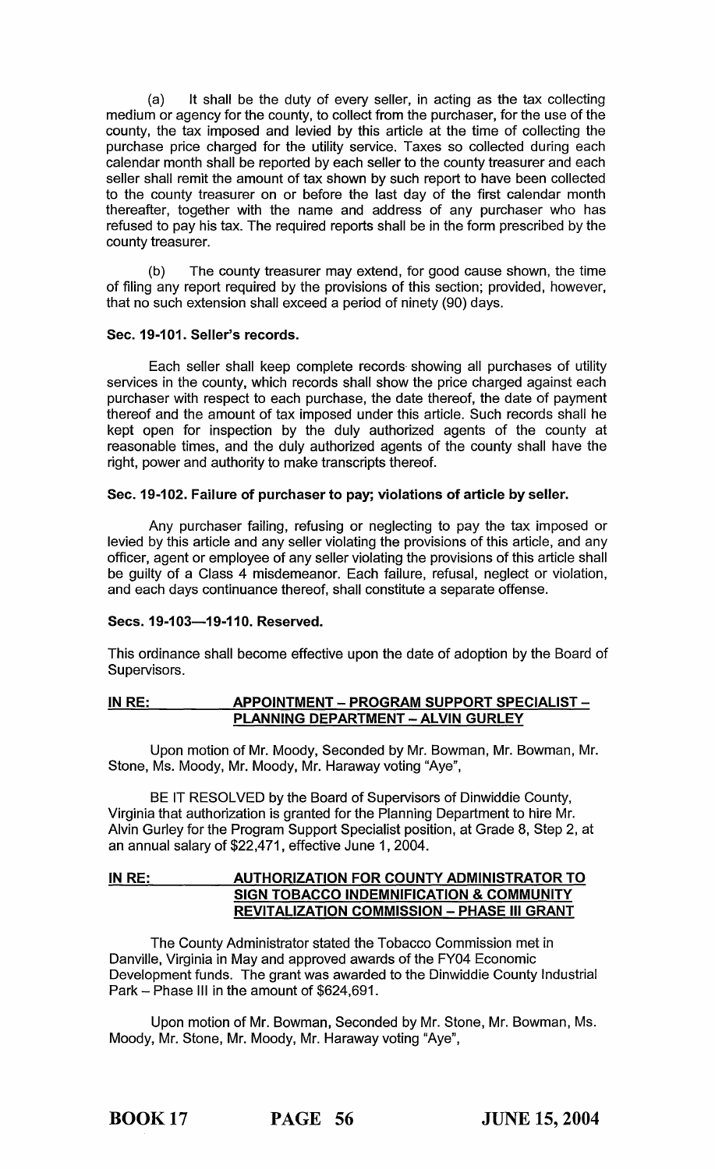(a) It shall be the duty of every seller, in acting as the tax collecting medium or agency for the county, to collect from the purchaser, for the use of the county, the tax imposed and levied by this article at the time of collecting the purchase price charged for the utility service. Taxes so collected during each calendar month shall be reported by each seller to the county treasurer and each seller shall remit the amount of tax shown by such report to have been collected to the county treasurer on or before the last day of the first calendar month thereafter, together with the name and address of any purchaser who has refused to pay his tax. The required reports shall be in the form prescribed by the county treasurer.

(b) The county treasurer may extend, for good cause shown, the time of filing any report required by the provisions of this section; provided, however, that no such extension shall exceed a period of ninety (90) days.

## Sec. 19-101. Seller's records.

Each seller shall keep complete records- showing all purchases of utility services in the county, which records shall show the price charged against each purchaser with respect to each purchase, the date thereof, the date of payment thereof and the amount of tax imposed under this article. Such records shall he kept open for inspection by the duly authorized agents of the county at reasonable times, and the duly authorized agents of the county shall have the right, power and authority to make transcripts thereof.

## Sec. 19-102. Failure of purchaser to pay; violations of article by seller.

Any purchaser failing, refusing or neglecting to pay the tax imposed or levied by this article and any seller violating the provisions of this article, and any officer, agent or employee of any seller violating the provisions of this article shall be guilty of a Class 4 misdemeanor. Each failure, refusal, neglect or violation, and each days continuance thereof, shall constitute a separate offense.

## Secs. 19-103-19-110. Reserved.

This ordinance shall become effective upon the date of adoption by the Board of Supervisors.

## IN RE: \_\_\_\_\_\_\_\_\_\_\_\_\_\_ APPOINTMENT - PROGRAM SUPPORT SPECIALIST -PLANNING DEPARTMENT - ALVIN GURLEY

Upon motion of Mr. Moody, Seconded by Mr. Bowman, Mr. Bowman, Mr. Stone, Ms. Moody, Mr. Moody, Mr. Haraway voting "Aye",

BE IT RESOLVED by the Board of Supervisors of Dinwiddie County, Virginia that authorization is granted for the Planning Department to hire Mr. Alvin Gurley for the Program Support Specialist position, at Grade 8, Step 2, at an annual salary of \$22,471, effective June 1,2004.

## IN RE: AUTHORIZATION FOR COUNTY ADMINISTRATOR TO SIGN TOBACCO INDEMNIFICATION & COMMUNITY REVITALIZATION COMMISSION - PHASE III GRANT

The County Administrator stated the Tobacco Commission met in Danville, Virginia in May and approved awards of the FY04 Economic Development funds. The grant was awarded to the Dinwiddie County Industrial Park - Phase III in the amount of \$624,691.

Upon motion of Mr. Bowman, Seconded by Mr. Stone, Mr. Bowman, Ms. Moody, Mr. Stone, Mr. Moody, Mr. Haraway voting "Aye",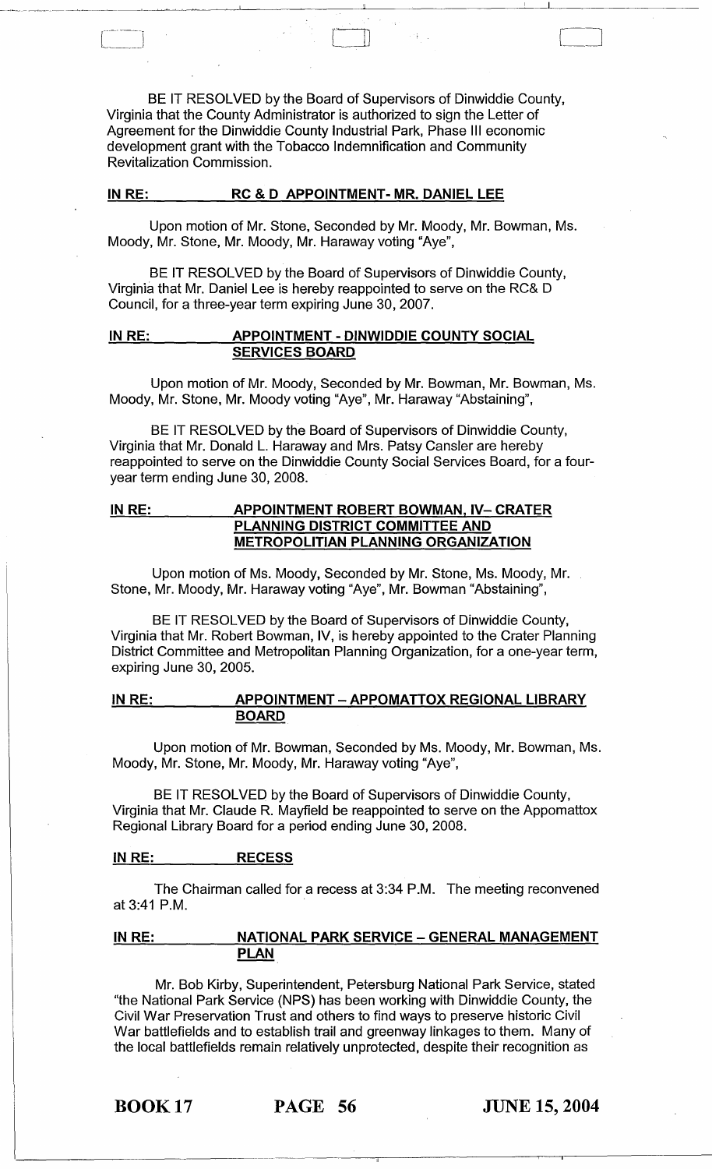BE IT RESOLVED by the Board of Supervisors of Dinwiddie County, Virginia that the County Administrator is authorized to sign the Letter of Agreement for the Dinwiddie County Industrial Park, Phase III economic development grant with the Tobacco Indemnification and Community Revitalization Commission.

 $\begin{tabular}{|c|c|} \hline \quad \quad & \quad \quad & \quad \quad \\ \hline \quad \quad & \quad \quad & \quad \quad \\ \hline \quad \quad & \quad \quad & \quad \quad \\ \hline \quad \quad & \quad \quad & \quad \quad \\ \hline \quad \quad & \quad \quad & \quad \quad \\ \hline \quad \quad & \quad \quad & \quad \quad \\ \hline \quad \quad & \quad \quad & \quad \quad \\ \hline \quad \quad & \quad \quad & \quad \quad \\ \hline \quad \quad & \quad \quad & \quad \quad \\ \hline \quad \quad & \quad \quad & \quad \quad \\ \hline \quad \quad & \quad \quad & \quad \quad \\ \hline \quad \quad & \quad$ 

## IN RE: RC & D APPOINTMENT- MR. DANIEL LEE

Upon motion of Mr. Stone, Seconded by Mr. Moody, Mr. Bowman, Ms. Moody, Mr. Stone, Mr. Moody, Mr. Haraway voting "Aye",

BE IT RESOLVED by the Board of Supervisors of Dinwiddie County, Virginia that Mr. Daniel Lee is hereby reappointed to serve on the RC& D Council, for a three-year term expiring June 30, 2007.

## IN RE: \_ \_ \_ \_ APPOINTMENT - DINWIDDIE COUNTY SOCIAL SERVICES BOARD

Upon motion of Mr. Moody, Seconded by Mr. Bowman, Mr. Bowman, Ms. Moody, Mr. Stone, Mr. Moody voting "Aye", Mr. Haraway "Abstaining",

BE IT RESOLVED by the Board of Supervisors of Dinwiddie County, Virginia that Mr. Donald L. Haraway and Mrs. Patsy Cansler are hereby reappointed to serve on the Dinwiddie County Social Services Board, for a fouryear term ending June 30, 2008.

## IN RE: **APPOINTMENT ROBERT BOWMAN, IV- CRATER** PLANNING DISTRICT COMMITTEE AND METROPOLITIAN PLANNING ORGANIZATION

Upon motion of Ms. Moody, Seconded by Mr. Stone, Ms. Moody, Mr. Stone, Mr. Moody, Mr. Haraway voting "Aye", Mr. Bowman "Abstaining",

BE IT RESOLVED by the Board of Supervisors of Dinwiddie County, Virginia that Mr. Robert Bowman, IV, is hereby appointed to the Crater Planning District Committee and Metropolitan Planning Organization, for a one-year term, expiring June 30, 2005.

IN RE: APPOINTMENT - APPOMATTOX REGIONAL LIBRARY BOARD

Upon motion of Mr. Bowman, Seconded by Ms. Moody, Mr. Bowman, Ms. Moody, Mr. Stone, Mr. Moody, Mr. Haraway voting "Aye",

BE IT RESOLVED by the Board of Supervisors of Dinwiddie County, Virginia that Mr. Claude R. Mayfield be reappointed to serve on the Appomattox Regional Library Board for a period ending June 30, 2008.

#### IN RE: RECESS

The Chairman called for a recess at 3:34 P.M. The meeting reconvened at 3:41 P.M.

## IN RE: NATIONAL PARK SERVICE - GENERAL MANAGEMENT PLAN

Mr. Bob Kirby, Superintendent, Petersburg National Park Service, stated "the National Park Service (NPS) has been working with Dinwiddie County, the Civil War Preservation Trust and others to find ways to preserve historic Civil War battlefields and to establish trail and greenway linkages to them. Many of the local battlefields remain relatively unprotected, despite their recognition as

BOOK 17 PAGE 56 JUNE 15, 2004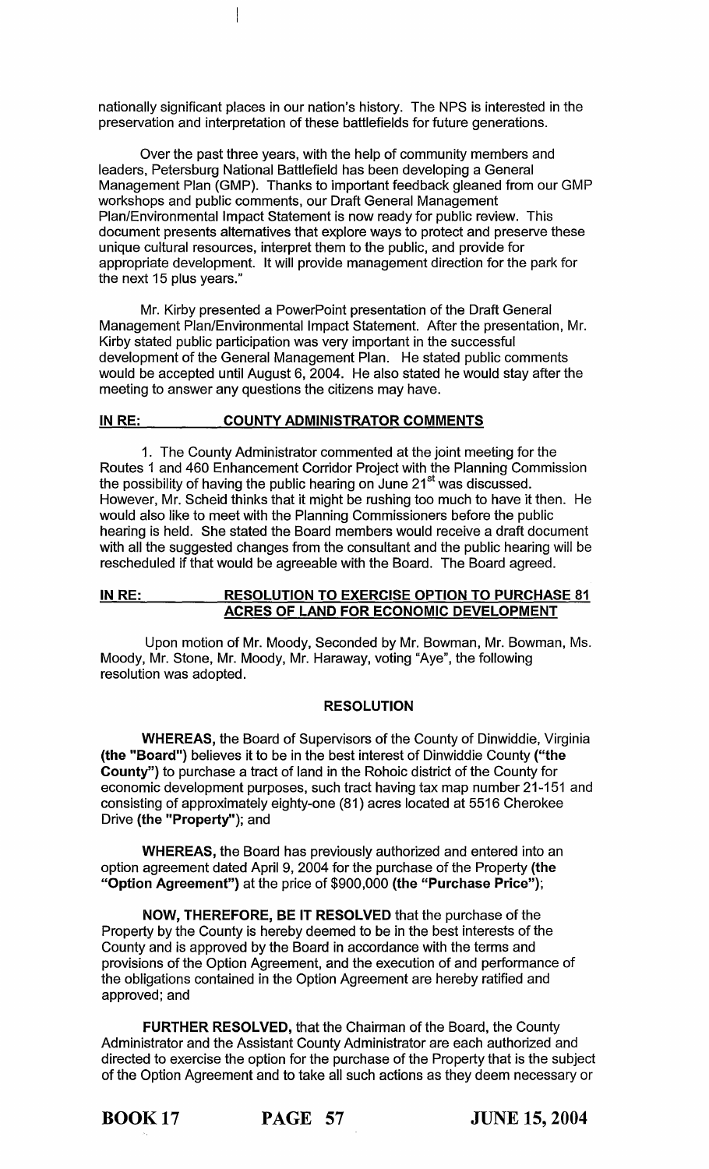nationally significant places in our nation's history. The NPS is interested in the preservation and interpretation of these battlefields for future generations.

 $\overline{\phantom{a}}$ 

Over the past three years, with the help of community members and leaders, Petersburg National Battlefield has been developing a General Management Plan (GMP). Thanks to important feedback gleaned from our GMP workshops and public comments, our Draft General Management Plan/Environmental Impact Statement is now ready for public review. This document presents alternatives that explore ways to protect and preserve these unique cultural resources, interpret them to the public, and provide for appropriate development. It will provide management direction for the park for the next 15 plus years."

Mr. Kirby presented a PowerPoint presentation of the Draft General Management Plan/Environmental Impact Statement. After the presentation, Mr. Kirby stated public participation was very important in the successful development of the General Management Plan. He stated public comments would be accepted until August 6, 2004. He also stated he would stay after the meeting to answer any questions the citizens may have.

## IN RE: COUNTY ADMINISTRATOR COMMENTS

1. The County Administrator commented at the joint meeting for the Routes 1 and 460 Enhancement Corridor Project with the Planning Commission the possibility of having the public hearing on June  $21<sup>st</sup>$  was discussed. However, Mr. Scheid thinks that it might be rushing too much to have it then. He would also like to meet with the Planning Commissioners before the public hearing is held. She stated the Board members would receive a draft document with all the suggested changes from the consultant and the public hearing will be rescheduled if that would be agreeable with the Board. The Board agreed.

## IN RE: RESOLUTION TO EXERCISE OPTION TO PURCHASE 81 ACRES OF LAND FOR ECONOMIC DEVELOPMENT

Upon motion of Mr. Moody, Seconded by Mr. Bowman, Mr. Bowman, Ms. Moody, Mr. Stone, Mr. Moody, Mr. Haraway, voting "Aye", the following resolution was adopted.

## RESOLUTION

WHEREAS, the Board of Supervisors of the County of Dinwiddie, Virginia (the "Board") believes it to be in the best interest of Dinwiddie County ("the County") to purchase a tract of land in the Rohoic district of the County for economic development purposes, such tract having tax map number 21-151 and consisting of approximately eighty-one (81) acres located at 5516 Cherokee Drive (the "Property"); and

WHEREAS, the Board has previously authorized and entered into an option agreement dated April 9, 2004 for the purchase of the Property (the "Option Agreement") at the price of \$900,000 (the "Purchase Price");

NOW, THEREFORE, BE IT RESOLVED that the purchase of the Property by the County is hereby deemed to be in the best interests of the County and is approved by the Board in accordance with the terms and provisions of the Option Agreement, and the execution of and performance of the obligations contained in the Option Agreement are hereby ratified and approved; and

FURTHER RESOLVED, that the Chairman of the Board, the County Administrator and the Assistant County Administrator are each authorized and directed to exercise the option for the purchase of the Property that is the subject of the Option Agreement and to take all such actions as they deem necessary or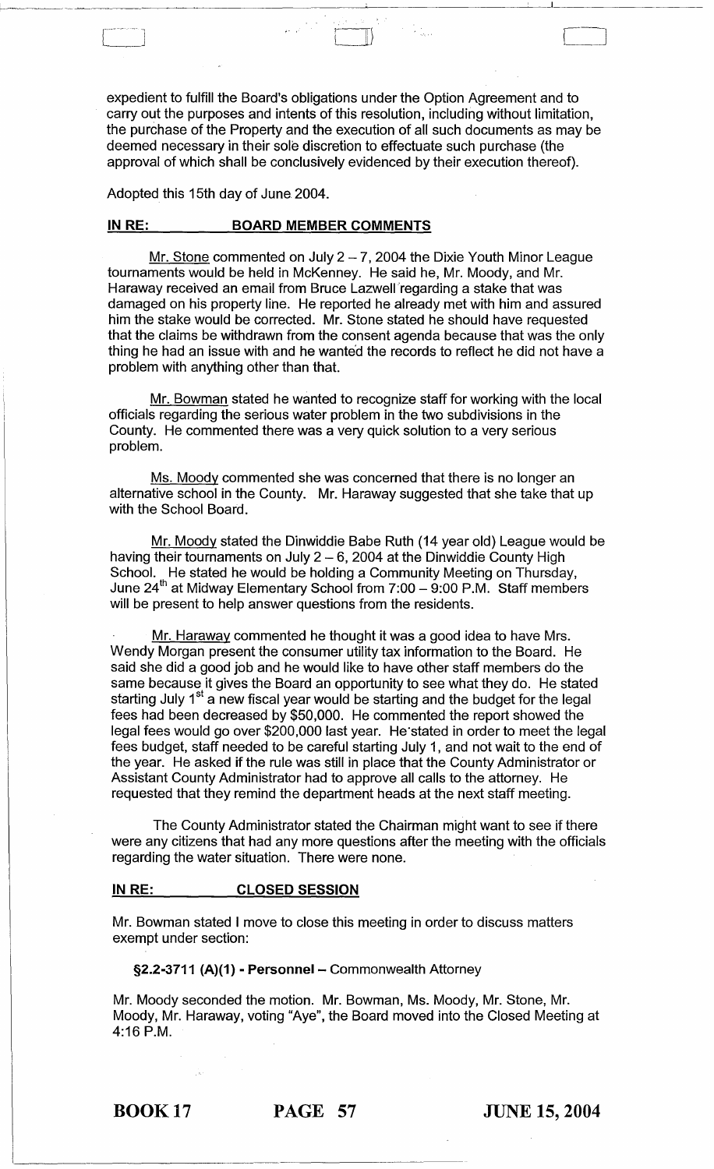expedient to fulfill the Board's obligations under the Option Agreement and to carry out the purposes and intents of this resolution, including without limitation, the purchase of the Property and the execution of all such documents as may be deemed necessary in their sole discretion to effectuate such purchase (the approval of which shall be conclusively evidenced by their execution thereof).

 $\begin{pmatrix} 1 & 1 \\ 1 & 1 \end{pmatrix}$ 

Adopted this 15th day of June 2004.

#### **IN RE: BOARD MEMBER COMMENTS**

Mr. Stone commented on July  $2 - 7$ , 2004 the Dixie Youth Minor League tournaments would be held in McKenney. He said he, Mr. Moody, and Mr. Haraway received an email from Bruce Lazwell'regarding a stake that was damaged on his property line. He reported he already met with him and assured him the stake would be corrected. Mr. Stone stated he should have requested that the claims be withdrawn from the consent agenda because that was the only thing he had an issue with and he wanted the records to reflect he did not have a problem with anything other than that.

Mr. Bowman stated he wanted to recognize staff for working with the local officials regarding the serious water problem in the two subdivisions in the County. He commented there was a very quick solution to a very serious problem.

Ms. Moody commented she was concerned that there is no longer an alternative school in the County. Mr. Haraway suggested that she take that up with the School Board.

Mr. Moody stated the Dinwiddie Babe Ruth (14 year old) League would be having their tournaments on July  $2 - 6$ , 2004 at the Dinwiddie County High School. He stated he would be holding a Community Meeting on Thursday, June 24<sup>th</sup> at Midway Elementary School from 7:00 - 9:00 P.M. Staff members will be present to help answer questions from the residents.

Mr. Haraway commented he thought it was a good idea to have Mrs. Wendy Morgan present the consumer utility tax information to the Board. He said she did a good job and he would like to have other staff members do the same because it gives the Board an opportunity to see what they do. He stated starting July 1<sup>st</sup> a new fiscal year would be starting and the budget for the legal fees had been decreased by \$50,000. He commented the report showed the legal fees would go over \$200,000 last year. He·stated in order to meet the legal fees budget, staff needed to be careful starting July 1, and not wait to the end of the year. He asked if the rule was still in place that the County Administrator or Assistant County Administrator had to approve all calls to the attorney. He requested that they remind the department heads at the next staff meeting.

The County Administrator stated the Chairman might want to see if there were any citizens that had any more questions after the meeting with the officials regarding the water situation. There were none.

#### **IN RE: CLOSED SESSION**

Mr. Bowman stated I move to close this meeting in order to discuss matters exempt under section:

§2.2-3711 (A)(1) - Personnel - Commonwealth Attorney

Mr. Moody seconded the motion. Mr. Bowman, Ms. Moody, Mr. Stone, Mr. Moody, Mr. Haraway, voting "Aye", the Board moved into the Closed Meeting at 4:16 P.M.

BOOK 17 **PAGE 57 JUNE 15, 2004**